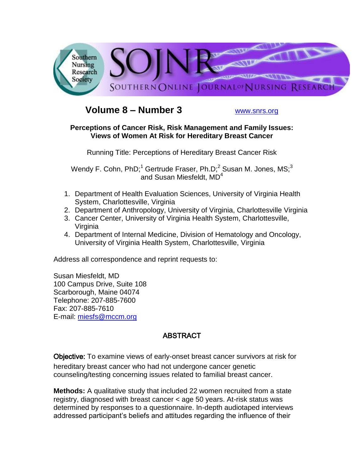

# **Volume 8 – Number 3** [www.snrs.org](http://www.snrs.org/)

### **Perceptions of Cancer Risk, Risk Management and Family Issues: Views of Women At Risk for Hereditary Breast Cancer**

Running Title: Perceptions of Hereditary Breast Cancer Risk

Wendy F. Cohn,  $PhD;^{1}$  Gertrude Fraser,  $Ph.D;^{2}$  Susan M. Jones, MS;<sup>3</sup> and Susan Miesfeldt,  $MD<sup>4</sup>$ 

- 1. Department of Health Evaluation Sciences, University of Virginia Health System, Charlottesville, Virginia
- 2. Department of Anthropology, University of Virginia, Charlottesville Virginia
- 3. Cancer Center, University of Virginia Health System, Charlottesville, Virginia
- 4. Department of Internal Medicine, Division of Hematology and Oncology, University of Virginia Health System, Charlottesville, Virginia

Address all correspondence and reprint requests to:

Susan Miesfeldt, MD 100 Campus Drive, Suite 108 Scarborough, Maine 04074 Telephone: 207-885-7600 Fax: 207-885-7610 E-mail: [miesfs@mccm.org](mailto:miesfs@mccm.org)

# ABSTRACT

Objective: To examine views of early-onset breast cancer survivors at risk for hereditary breast cancer who had not undergone cancer genetic counseling/testing concerning issues related to familial breast cancer.

**Methods:** A qualitative study that included 22 women recruited from a state registry, diagnosed with breast cancer < age 50 years. At-risk status was determined by responses to a questionnaire. In-depth audiotaped interviews addressed participant"s beliefs and attitudes regarding the influence of their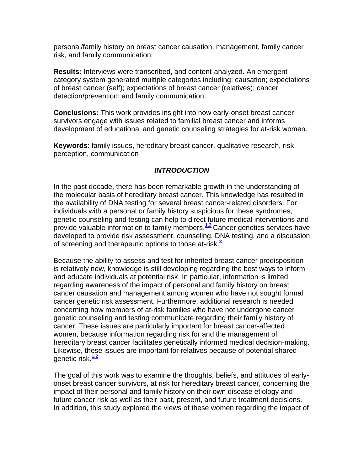personal/family history on breast cancer causation, management, family cancer risk, and family communication.

**Results:** Interviews were transcribed, and content-analyzed. An emergent category system generated multiple categories including: causation; expectations of breast cancer (self); expectations of breast cancer (relatives); cancer detection/prevention; and family communication.

**Conclusions:** This work provides insight into how early-onset breast cancer survivors engage with issues related to familial breast cancer and informs development of educational and genetic counseling strategies for at-risk women.

**Keywords**: family issues, hereditary breast cancer, qualitative research, risk perception, communication

### *INTRODUCTION*

In the past decade, there has been remarkable growth in the understanding of the molecular basis of hereditary breast cancer. This knowledge has resulted in the availability of DNA testing for several breast cancer-related disorders. For individuals with a personal or family history suspicious for these syndromes, genetic counseling and testing can help to direct future medical interventions and provide valuable information to family members.**[1,2](http://snrs.org/publications/SOJNR_articles2/n)** Cancer genetics services have developed to provide risk assessment, counseling, DNA testing, and a discussion of screening and therapeutic options to those at-risk.**[3](http://snrs.org/publications/SOJNR_articles2/n)**

Because the ability to assess and test for inherited breast cancer predisposition is relatively new, knowledge is still developing regarding the best ways to inform and educate individuals at potential risk. In particular, information is limited regarding awareness of the impact of personal and family history on breast cancer causation and management among women who have not sought formal cancer genetic risk assessment. Furthermore, additional research is needed concerning how members of at-risk families who have not undergone cancer genetic counseling and testing communicate regarding their family history of cancer. These issues are particularly important for breast cancer-affected women, because information regarding risk for and the management of hereditary breast cancer facilitates genetically informed medical decision-making. Likewise, these issues are important for relatives because of potential shared genetic risk.**[1,2](http://snrs.org/publications/SOJNR_articles2/n)**

The goal of this work was to examine the thoughts, beliefs, and attitudes of earlyonset breast cancer survivors, at risk for hereditary breast cancer, concerning the impact of their personal and family history on their own disease etiology and future cancer risk as well as their past, present, and future treatment decisions. In addition, this study explored the views of these women regarding the impact of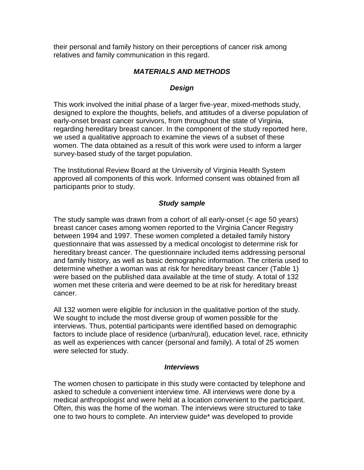their personal and family history on their perceptions of cancer risk among relatives and family communication in this regard.

# *MATERIALS AND METHODS*

### *Design*

This work involved the initial phase of a larger five-year, mixed-methods study, designed to explore the thoughts, beliefs, and attitudes of a diverse population of early-onset breast cancer survivors, from throughout the state of Virginia, regarding hereditary breast cancer. In the component of the study reported here, we used a qualitative approach to examine the views of a subset of these women. The data obtained as a result of this work were used to inform a larger survey-based study of the target population.

The Institutional Review Board at the University of Virginia Health System approved all components of this work. Informed consent was obtained from all participants prior to study.

#### *Study sample*

The study sample was drawn from a cohort of all early-onset (< age 50 years) breast cancer cases among women reported to the Virginia Cancer Registry between 1994 and 1997. These women completed a detailed family history questionnaire that was assessed by a medical oncologist to determine risk for hereditary breast cancer. The questionnaire included items addressing personal and family history, as well as basic demographic information. The criteria used to determine whether a woman was at risk for hereditary breast cancer (Table 1) were based on the published data available at the time of study. A total of 132 women met these criteria and were deemed to be at risk for hereditary breast cancer.

All 132 women were eligible for inclusion in the qualitative portion of the study. We sought to include the most diverse group of women possible for the interviews. Thus, potential participants were identified based on demographic factors to include place of residence (urban/rural), education level, race, ethnicity as well as experiences with cancer (personal and family). A total of 25 women were selected for study.

#### *Interviews*

The women chosen to participate in this study were contacted by telephone and asked to schedule a convenient interview time. All interviews were done by a medical anthropologist and were held at a location convenient to the participant. Often, this was the home of the woman. The interviews were structured to take one to two hours to complete. An interview guide\* was developed to provide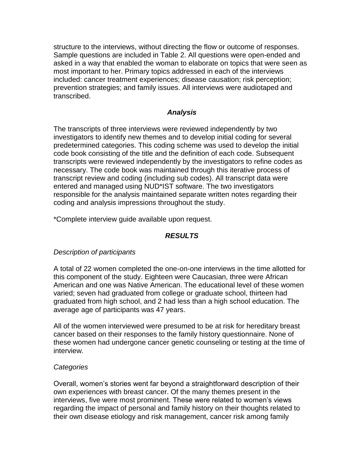structure to the interviews, without directing the flow or outcome of responses. Sample questions are included in Table 2. All questions were open-ended and asked in a way that enabled the woman to elaborate on topics that were seen as most important to her. Primary topics addressed in each of the interviews included: cancer treatment experiences; disease causation; risk perception; prevention strategies; and family issues. All interviews were audiotaped and transcribed.

### *Analysis*

The transcripts of three interviews were reviewed independently by two investigators to identify new themes and to develop initial coding for several predetermined categories. This coding scheme was used to develop the initial code book consisting of the title and the definition of each code. Subsequent transcripts were reviewed independently by the investigators to refine codes as necessary. The code book was maintained through this iterative process of transcript review and coding (including sub codes). All transcript data were entered and managed using NUD\*IST software. The two investigators responsible for the analysis maintained separate written notes regarding their coding and analysis impressions throughout the study.

\*Complete interview guide available upon request.

### *RESULTS*

#### *Description of participants*

A total of 22 women completed the one-on-one interviews in the time allotted for this component of the study. Eighteen were Caucasian, three were African American and one was Native American. The educational level of these women varied; seven had graduated from college or graduate school, thirteen had graduated from high school, and 2 had less than a high school education. The average age of participants was 47 years.

All of the women interviewed were presumed to be at risk for hereditary breast cancer based on their responses to the family history questionnaire. None of these women had undergone cancer genetic counseling or testing at the time of interview.

#### *Categories*

Overall, women"s stories went far beyond a straightforward description of their own experiences with breast cancer. Of the many themes present in the interviews, five were most prominent. These were related to women"s views regarding the impact of personal and family history on their thoughts related to their own disease etiology and risk management, cancer risk among family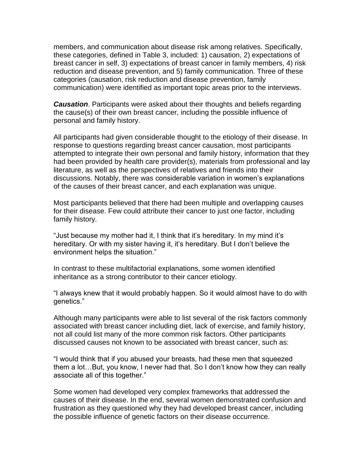members, and communication about disease risk among relatives. Specifically, these categories, defined in Table 3, included: 1) causation, 2) expectations of breast cancer in self, 3) expectations of breast cancer in family members, 4) risk reduction and disease prevention, and 5) family communication. Three of these categories (causation, risk reduction and disease prevention, family communication) were identified as important topic areas prior to the interviews.

*Causation*. Participants were asked about their thoughts and beliefs regarding the cause(s) of their own breast cancer, including the possible influence of personal and family history.

All participants had given considerable thought to the etiology of their disease. In response to questions regarding breast cancer causation, most participants attempted to integrate their own personal and family history, information that they had been provided by health care provider(s), materials from professional and lay literature, as well as the perspectives of relatives and friends into their discussions. Notably, there was considerable variation in women"s explanations of the causes of their breast cancer, and each explanation was unique.

Most participants believed that there had been multiple and overlapping causes for their disease. Few could attribute their cancer to just one factor, including family history.

"Just because my mother had it, I think that it"s hereditary. In my mind it"s hereditary. Or with my sister having it, it"s hereditary. But I don"t believe the environment helps the situation."

In contrast to these multifactorial explanations, some women identified inheritance as a strong contributor to their cancer etiology.

"I always knew that it would probably happen. So it would almost have to do with genetics."

Although many participants were able to list several of the risk factors commonly associated with breast cancer including diet, lack of exercise, and family history, not all could list many of the more common risk factors. Other participants discussed causes not known to be associated with breast cancer, such as:

"I would think that if you abused your breasts, had these men that squeezed them a lot…But, you know, I never had that. So I don"t know how they can really associate all of this together."

Some women had developed very complex frameworks that addressed the causes of their disease. In the end, several women demonstrated confusion and frustration as they questioned why they had developed breast cancer, including the possible influence of genetic factors on their disease occurrence.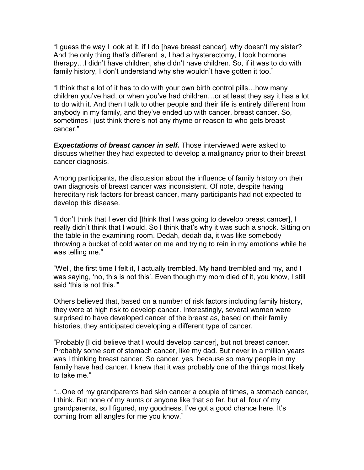"I guess the way I look at it, if I do [have breast cancer], why doesn"t my sister? And the only thing that"s different is, I had a hysterectomy, I took hormone therapy…I didn"t have children, she didn"t have children. So, if it was to do with family history, I don't understand why she wouldn't have gotten it too."

"I think that a lot of it has to do with your own birth control pills…how many children you"ve had, or when you"ve had children…or at least they say it has a lot to do with it. And then I talk to other people and their life is entirely different from anybody in my family, and they"ve ended up with cancer, breast cancer. So, sometimes I just think there's not any rhyme or reason to who gets breast cancer."

*Expectations of breast cancer in self.* Those interviewed were asked to discuss whether they had expected to develop a malignancy prior to their breast cancer diagnosis.

Among participants, the discussion about the influence of family history on their own diagnosis of breast cancer was inconsistent. Of note, despite having hereditary risk factors for breast cancer, many participants had not expected to develop this disease.

"I don"t think that I ever did [think that I was going to develop breast cancer], I really didn"t think that I would. So I think that"s why it was such a shock. Sitting on the table in the examining room. Dedah, dedah da, it was like somebody throwing a bucket of cold water on me and trying to rein in my emotions while he was telling me."

"Well, the first time I felt it, I actually trembled. My hand trembled and my, and I was saying, "no, this is not this". Even though my mom died of it, you know, I still said 'this is not this.""

Others believed that, based on a number of risk factors including family history, they were at high risk to develop cancer. Interestingly, several women were surprised to have developed cancer of the breast as, based on their family histories, they anticipated developing a different type of cancer.

"Probably [I did believe that I would develop cancer], but not breast cancer. Probably some sort of stomach cancer, like my dad. But never in a million years was I thinking breast cancer. So cancer, yes, because so many people in my family have had cancer. I knew that it was probably one of the things most likely to take me."

"...One of my grandparents had skin cancer a couple of times, a stomach cancer, I think. But none of my aunts or anyone like that so far, but all four of my grandparents, so I figured, my goodness, I've got a good chance here. It's coming from all angles for me you know."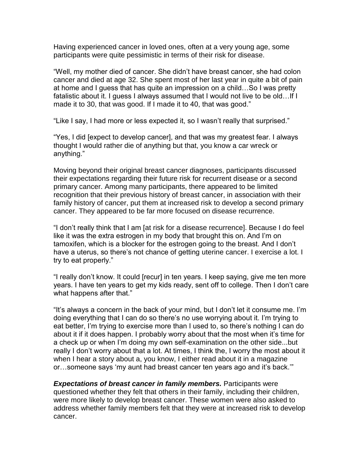Having experienced cancer in loved ones, often at a very young age, some participants were quite pessimistic in terms of their risk for disease.

"Well, my mother died of cancer. She didn"t have breast cancer, she had colon cancer and died at age 32. She spent most of her last year in quite a bit of pain at home and I guess that has quite an impression on a child…So I was pretty fatalistic about it. I guess I always assumed that I would not live to be old…If I made it to 30, that was good. If I made it to 40, that was good."

"Like I say, I had more or less expected it, so I wasn"t really that surprised."

"Yes, I did [expect to develop cancer], and that was my greatest fear. I always thought I would rather die of anything but that, you know a car wreck or anything."

Moving beyond their original breast cancer diagnoses, participants discussed their expectations regarding their future risk for recurrent disease or a second primary cancer. Among many participants, there appeared to be limited recognition that their previous history of breast cancer, in association with their family history of cancer, put them at increased risk to develop a second primary cancer. They appeared to be far more focused on disease recurrence.

"I don"t really think that I am [at risk for a disease recurrence]. Because I do feel like it was the extra estrogen in my body that brought this on. And I"m on tamoxifen, which is a blocker for the estrogen going to the breast. And I don"t have a uterus, so there's not chance of getting uterine cancer. I exercise a lot. I try to eat properly."

"I really don"t know. It could [recur] in ten years. I keep saying, give me ten more years. I have ten years to get my kids ready, sent off to college. Then I don"t care what happens after that."

"It"s always a concern in the back of your mind, but I don"t let it consume me. I"m doing everything that I can do so there"s no use worrying about it. I"m trying to eat better, I"m trying to exercise more than I used to, so there"s nothing I can do about it if it does happen. I probably worry about that the most when it's time for a check up or when I"m doing my own self-examination on the other side...but really I don"t worry about that a lot. At times, I think the, I worry the most about it when I hear a story about a, you know, I either read about it in a magazine or…someone says "my aunt had breast cancer ten years ago and it"s back.""

*Expectations of breast cancer in family members.* Participants were questioned whether they felt that others in their family, including their children, were more likely to develop breast cancer. These women were also asked to address whether family members felt that they were at increased risk to develop cancer.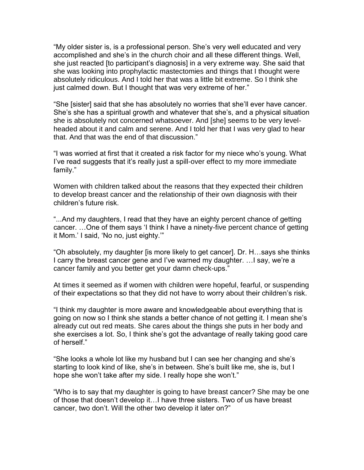"My older sister is, is a professional person. She"s very well educated and very accomplished and she"s in the church choir and all these different things. Well, she just reacted [to participant"s diagnosis] in a very extreme way. She said that she was looking into prophylactic mastectomies and things that I thought were absolutely ridiculous. And I told her that was a little bit extreme. So I think she just calmed down. But I thought that was very extreme of her."

"She [sister] said that she has absolutely no worries that she"ll ever have cancer. She"s she has a spiritual growth and whatever that she"s, and a physical situation she is absolutely not concerned whatsoever. And [she] seems to be very levelheaded about it and calm and serene. And I told her that I was very glad to hear that. And that was the end of that discussion."

"I was worried at first that it created a risk factor for my niece who"s young. What I've read suggests that it's really just a spill-over effect to my more immediate family."

Women with children talked about the reasons that they expected their children to develop breast cancer and the relationship of their own diagnosis with their children"s future risk.

"...And my daughters, I read that they have an eighty percent chance of getting cancer. …One of them says "I think I have a ninety-five percent chance of getting it Mom." I said, "No no, just eighty.""

"Oh absolutely, my daughter [is more likely to get cancer]. Dr. H…says she thinks I carry the breast cancer gene and I've warned my daughter. ... I say, we're a cancer family and you better get your damn check-ups."

At times it seemed as if women with children were hopeful, fearful, or suspending of their expectations so that they did not have to worry about their children"s risk.

"I think my daughter is more aware and knowledgeable about everything that is going on now so I think she stands a better chance of not getting it. I mean she"s already cut out red meats. She cares about the things she puts in her body and she exercises a lot. So, I think she"s got the advantage of really taking good care of herself."

"She looks a whole lot like my husband but I can see her changing and she"s starting to look kind of like, she's in between. She's built like me, she is, but I hope she won't take after my side. I really hope she won't."

"Who is to say that my daughter is going to have breast cancer? She may be one of those that doesn"t develop it…I have three sisters. Two of us have breast cancer, two don"t. Will the other two develop it later on?"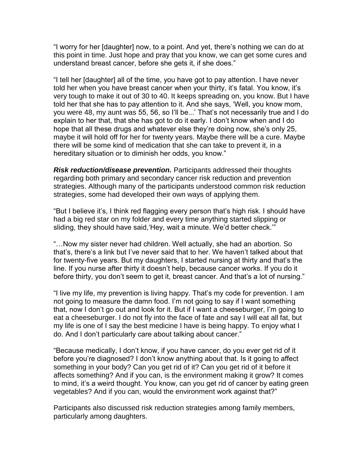"I worry for her [daughter] now, to a point. And yet, there"s nothing we can do at this point in time. Just hope and pray that you know, we can get some cures and understand breast cancer, before she gets it, if she does."

"I tell her [daughter] all of the time, you have got to pay attention. I have never told her when you have breast cancer when your thirty, it's fatal. You know, it's very tough to make it out of 30 to 40. It keeps spreading on, you know. But I have told her that she has to pay attention to it. And she says, "Well, you know mom, you were 48, my aunt was 55, 56, so I"ll be..." That"s not necessarily true and I do explain to her that, that she has got to do it early. I don"t know when and I do hope that all these drugs and whatever else they"re doing now, she"s only 25, maybe it will hold off for her for twenty years. Maybe there will be a cure. Maybe there will be some kind of medication that she can take to prevent it, in a hereditary situation or to diminish her odds, you know."

*Risk reduction/disease prevention.* Participants addressed their thoughts regarding both primary and secondary cancer risk reduction and prevention strategies. Although many of the participants understood common risk reduction strategies, some had developed their own ways of applying them.

"But I believe it"s, I think red flagging every person that"s high risk. I should have had a big red star on my folder and every time anything started slipping or sliding, they should have said, Hey, wait a minute. We'd better check."

"…Now my sister never had children. Well actually, she had an abortion. So that"s, there"s a link but I"ve never said that to her. We haven"t talked about that for twenty-five years. But my daughters, I started nursing at thirty and that"s the line. If you nurse after thirty it doesn't help, because cancer works. If you do it before thirty, you don't seem to get it, breast cancer. And that's a lot of nursing."

"I live my life, my prevention is living happy. That"s my code for prevention. I am not going to measure the damn food. I"m not going to say if I want something that, now I don"t go out and look for it. But if I want a cheeseburger, I"m going to eat a cheeseburger. I do not fly into the face of fate and say I will eat all fat, but my life is one of I say the best medicine I have is being happy. To enjoy what I do. And I don"t particularly care about talking about cancer."

"Because medically, I don"t know, if you have cancer, do you ever get rid of it before you"re diagnosed? I don"t know anything about that. Is it going to affect something in your body? Can you get rid of it? Can you get rid of it before it affects something? And if you can, is the environment making it grow? It comes to mind, it"s a weird thought. You know, can you get rid of cancer by eating green vegetables? And if you can, would the environment work against that?"

Participants also discussed risk reduction strategies among family members, particularly among daughters.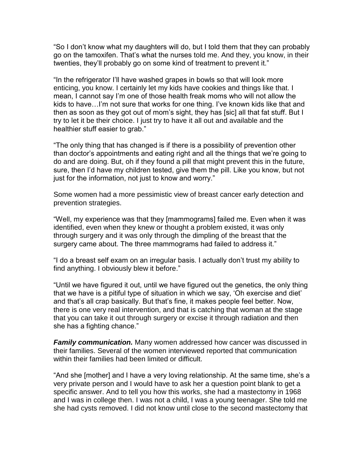"So I don"t know what my daughters will do, but I told them that they can probably go on the tamoxifen. That"s what the nurses told me. And they, you know, in their twenties, they"ll probably go on some kind of treatment to prevent it."

"In the refrigerator I"ll have washed grapes in bowls so that will look more enticing, you know. I certainly let my kids have cookies and things like that. I mean, I cannot say I"m one of those health freak moms who will not allow the kids to have…I"m not sure that works for one thing. I"ve known kids like that and then as soon as they got out of mom"s sight, they has [sic] all that fat stuff. But I try to let it be their choice. I just try to have it all out and available and the healthier stuff easier to grab."

"The only thing that has changed is if there is a possibility of prevention other than doctor"s appointments and eating right and all the things that we"re going to do and are doing. But, oh if they found a pill that might prevent this in the future, sure, then I"d have my children tested, give them the pill. Like you know, but not just for the information, not just to know and worry."

Some women had a more pessimistic view of breast cancer early detection and prevention strategies.

"Well, my experience was that they [mammograms] failed me. Even when it was identified, even when they knew or thought a problem existed, it was only through surgery and it was only through the dimpling of the breast that the surgery came about. The three mammograms had failed to address it."

"I do a breast self exam on an irregular basis. I actually don"t trust my ability to find anything. I obviously blew it before."

"Until we have figured it out, until we have figured out the genetics, the only thing that we have is a pitiful type of situation in which we say, "Oh exercise and diet" and that's all crap basically. But that's fine, it makes people feel better. Now, there is one very real intervention, and that is catching that woman at the stage that you can take it out through surgery or excise it through radiation and then she has a fighting chance."

*Family communication.* Many women addressed how cancer was discussed in their families. Several of the women interviewed reported that communication within their families had been limited or difficult.

"And she [mother] and I have a very loving relationship. At the same time, she"s a very private person and I would have to ask her a question point blank to get a specific answer. And to tell you how this works, she had a mastectomy in 1968 and I was in college then. I was not a child, I was a young teenager. She told me she had cysts removed. I did not know until close to the second mastectomy that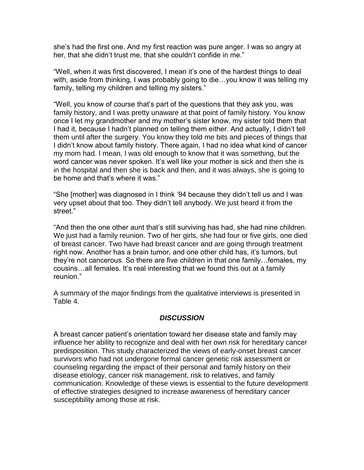she"s had the first one. And my first reaction was pure anger. I was so angry at her, that she didn't trust me, that she couldn't confide in me."

"Well, when it was first discovered, I mean it"s one of the hardest things to deal with, aside from thinking, I was probably going to die…you know it was telling my family, telling my children and telling my sisters."

"Well, you know of course that"s part of the questions that they ask you, was family history, and I was pretty unaware at that point of family history. You know once I let my grandmother and my mother"s sister know, my sister told them that I had it, because I hadn"t planned on telling them either. And actually, I didn"t tell them until after the surgery. You know they told me bits and pieces of things that I didn"t know about family history. There again, I had no idea what kind of cancer my mom had. I mean, I was old enough to know that it was something, but the word cancer was never spoken. It's well like your mother is sick and then she is in the hospital and then she is back and then, and it was always, she is going to be home and that"s where it was."

"She [mother] was diagnosed in I think "94 because they didn"t tell us and I was very upset about that too. They didn"t tell anybody. We just heard it from the street."

"And then the one other aunt that"s still surviving has had, she had nine children. We just had a family reunion. Two of her girls, she had four or five girls, one died of breast cancer. Two have had breast cancer and are going through treatment right now. Another has a brain tumor, and one other child has, it"s tumors, but they"re not cancerous. So there are five children in that one family…females, my cousins…all females. It"s real interesting that we found this out at a family reunion."

A summary of the major findings from the qualitative interviews is presented in Table 4.

### *DISCUSSION*

A breast cancer patient"s orientation toward her disease state and family may influence her ability to recognize and deal with her own risk for hereditary cancer predisposition. This study characterized the views of early-onset breast cancer survivors who had not undergone formal cancer genetic risk assessment or counseling regarding the impact of their personal and family history on their disease etiology, cancer risk management, risk to relatives, and family communication. Knowledge of these views is essential to the future development of effective strategies designed to increase awareness of hereditary cancer susceptibility among those at risk.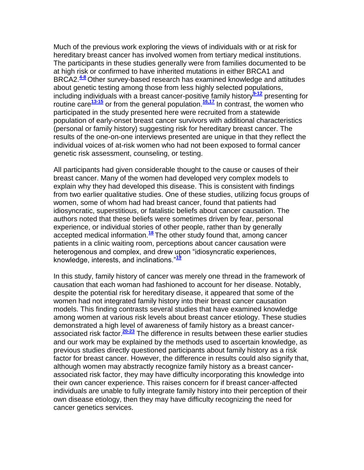Much of the previous work exploring the views of individuals with or at risk for hereditary breast cancer has involved women from tertiary medical institutions. The participants in these studies generally were from families documented to be at high risk or confirmed to have inherited mutations in either BRCA1 and BRCA2.**[4-8](http://snrs.org/publications/SOJNR_articles2/n)** Other survey-based research has examined knowledge and attitudes about genetic testing among those from less highly selected populations, including individuals with a breast cancer-positive family history**[9-12](http://snrs.org/publications/SOJNR_articles2/n)** presenting for routine care**[13-15](http://snrs.org/publications/SOJNR_articles2/n)** or from the general population.**[16,17](http://snrs.org/publications/SOJNR_articles2/n)** In contrast, the women who participated in the study presented here were recruited from a statewide population of early-onset breast cancer survivors with additional characteristics (personal or family history) suggesting risk for hereditary breast cancer. The results of the one-on-one interviews presented are unique in that they reflect the individual voices of at-risk women who had not been exposed to formal cancer genetic risk assessment, counseling, or testing.

All participants had given considerable thought to the cause or causes of their breast cancer. Many of the women had developed very complex models to explain why they had developed this disease. This is consistent with findings from two earlier qualitative studies. One of these studies, utilizing focus groups of women, some of whom had had breast cancer, found that patients had idiosyncratic, superstitious, or fatalistic beliefs about cancer causation. The authors noted that these beliefs were sometimes driven by fear, personal experience, or individual stories of other people, rather than by generally accepted medical information.**[18](http://snrs.org/publications/SOJNR_articles2/n)** The other study found that, among cancer patients in a clinic waiting room, perceptions about cancer causation were heterogenous and complex, and drew upon "idiosyncratic experiences, knowledge, interests, and inclinations."**[19](http://snrs.org/publications/SOJNR_articles2/n)**

In this study, family history of cancer was merely one thread in the framework of causation that each woman had fashioned to account for her disease. Notably, despite the potential risk for hereditary disease, it appeared that some of the women had not integrated family history into their breast cancer causation models. This finding contrasts several studies that have examined knowledge among women at various risk levels about breast cancer etiology. These studies demonstrated a high level of awareness of family history as a breast cancerassociated risk factor.**[20-23](http://snrs.org/publications/SOJNR_articles2/n)** The difference in results between these earlier studies and our work may be explained by the methods used to ascertain knowledge, as previous studies directly questioned participants about family history as a risk factor for breast cancer. However, the difference in results could also signify that, although women may abstractly recognize family history as a breast cancerassociated risk factor, they may have difficulty incorporating this knowledge into their own cancer experience. This raises concern for if breast cancer-affected individuals are unable to fully integrate family history into their perception of their own disease etiology, then they may have difficulty recognizing the need for cancer genetics services.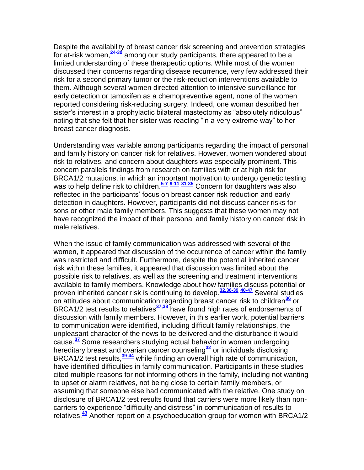Despite the availability of breast cancer risk screening and prevention strategies for at-risk women,**[24-30](http://snrs.org/publications/SOJNR_articles2/n)** among our study participants, there appeared to be a limited understanding of these therapeutic options. While most of the women discussed their concerns regarding disease recurrence, very few addressed their risk for a second primary tumor or the risk-reduction interventions available to them. Although several women directed attention to intensive surveillance for early detection or tamoxifen as a chemopreventive agent, none of the women reported considering risk-reducing surgery. Indeed, one woman described her sister's interest in a prophylactic bilateral mastectomy as "absolutely ridiculous" noting that she felt that her sister was reacting "in a very extreme way" to her breast cancer diagnosis.

Understanding was variable among participants regarding the impact of personal and family history on cancer risk for relatives. However, women wondered about risk to relatives, and concern about daughters was especially prominent. This concern parallels findings from research on families with or at high risk for BRCA1/2 mutations, in which an important motivation to undergo genetic testing was to help define risk to children.**[5-7](http://snrs.org/publications/SOJNR_articles2/n) [9-11](http://snrs.org/publications/SOJNR_articles2/n) [31-35](http://snrs.org/publications/SOJNR_articles2/n)** Concern for daughters was also reflected in the participants' focus on breast cancer risk reduction and early detection in daughters. However, participants did not discuss cancer risks for sons or other male family members. This suggests that these women may not have recognized the impact of their personal and family history on cancer risk in male relatives.

When the issue of family communication was addressed with several of the women, it appeared that discussion of the occurrence of cancer within the family was restricted and difficult. Furthermore, despite the potential inherited cancer risk within these families, it appeared that discussion was limited about the possible risk to relatives, as well as the screening and treatment interventions available to family members. Knowledge about how families discuss potential or proven inherited cancer risk is continuing to develop.**[32,36-39](http://snrs.org/publications/SOJNR_articles2/n) [40-47](http://snrs.org/publications/SOJNR_articles2/n)** Several studies on attitudes about communication regarding breast cancer risk to children**[36](http://snrs.org/publications/SOJNR_articles2/n)** or BRCA1/2 test results to relatives**[37,38](http://snrs.org/publications/SOJNR_articles2/n)** have found high rates of endorsements of discussion with family members. However, in this earlier work, potential barriers to communication were identified, including difficult family relationships, the unpleasant character of the news to be delivered and the disturbance it would cause.**[37](http://snrs.org/publications/SOJNR_articles2/n)** Some researchers studying actual behavior in women undergoing hereditary breast and ovarian cancer counseling**[32](http://snrs.org/publications/SOJNR_articles2/n)** or individuals disclosing BRCA1/2 test results,**[39-44](http://snrs.org/publications/SOJNR_articles2/n)** while finding an overall high rate of communication, have identified difficulties in family communication. Participants in these studies cited multiple reasons for not informing others in the family, including not wanting to upset or alarm relatives, not being close to certain family members, or assuming that someone else had communicated with the relative. One study on disclosure of BRCA1/2 test results found that carriers were more likely than noncarriers to experience "difficulty and distress" in communication of results to relatives.**[43](http://snrs.org/publications/SOJNR_articles2/n)** Another report on a psychoeducation group for women with BRCA1/2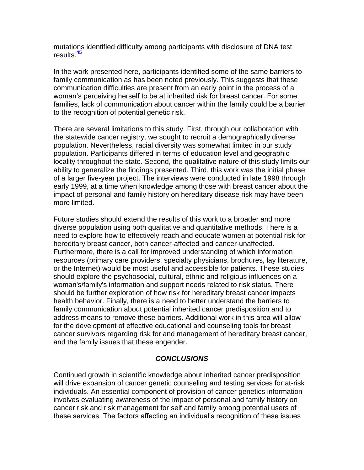mutations identified difficulty among participants with disclosure of DNA test results.**[45](http://snrs.org/publications/SOJNR_articles2/n)**

In the work presented here, participants identified some of the same barriers to family communication as has been noted previously. This suggests that these communication difficulties are present from an early point in the process of a woman"s perceiving herself to be at inherited risk for breast cancer. For some families, lack of communication about cancer within the family could be a barrier to the recognition of potential genetic risk.

There are several limitations to this study. First, through our collaboration with the statewide cancer registry, we sought to recruit a demographically diverse population. Nevertheless, racial diversity was somewhat limited in our study population. Participants differed in terms of education level and geographic locality throughout the state. Second, the qualitative nature of this study limits our ability to generalize the findings presented. Third, this work was the initial phase of a larger five-year project. The interviews were conducted in late 1998 through early 1999, at a time when knowledge among those with breast cancer about the impact of personal and family history on hereditary disease risk may have been more limited.

Future studies should extend the results of this work to a broader and more diverse population using both qualitative and quantitative methods. There is a need to explore how to effectively reach and educate women at potential risk for hereditary breast cancer, both cancer-affected and cancer-unaffected. Furthermore, there is a call for improved understanding of which information resources (primary care providers, specialty physicians, brochures, lay literature, or the Internet) would be most useful and accessible for patients. These studies should explore the psychosocial, cultural, ethnic and religious influences on a woman's/family's information and support needs related to risk status. There should be further exploration of how risk for hereditary breast cancer impacts health behavior. Finally, there is a need to better understand the barriers to family communication about potential inherited cancer predisposition and to address means to remove these barriers. Additional work in this area will allow for the development of effective educational and counseling tools for breast cancer survivors regarding risk for and management of hereditary breast cancer, and the family issues that these engender.

### *CONCLUSIONS*

Continued growth in scientific knowledge about inherited cancer predisposition will drive expansion of cancer genetic counseling and testing services for at-risk individuals. An essential component of provision of cancer genetics information involves evaluating awareness of the impact of personal and family history on cancer risk and risk management for self and family among potential users of these services. The factors affecting an individual"s recognition of these issues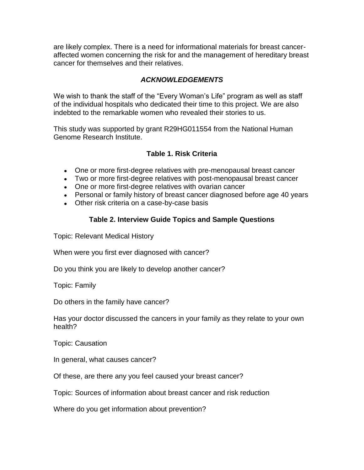are likely complex. There is a need for informational materials for breast canceraffected women concerning the risk for and the management of hereditary breast cancer for themselves and their relatives.

### *ACKNOWLEDGEMENTS*

We wish to thank the staff of the "Every Woman's Life" program as well as staff of the individual hospitals who dedicated their time to this project. We are also indebted to the remarkable women who revealed their stories to us.

This study was supported by grant R29HG011554 from the National Human Genome Research Institute.

# **Table 1. Risk Criteria**

- One or more first-degree relatives with pre-menopausal breast cancer
- Two or more first-degree relatives with post-menopausal breast cancer
- One or more first-degree relatives with ovarian cancer
- Personal or family history of breast cancer diagnosed before age 40 years
- Other risk criteria on a case-by-case basis

# **Table 2. Interview Guide Topics and Sample Questions**

Topic: Relevant Medical History

When were you first ever diagnosed with cancer?

Do you think you are likely to develop another cancer?

Topic: Family

Do others in the family have cancer?

Has your doctor discussed the cancers in your family as they relate to your own health?

Topic: Causation

In general, what causes cancer?

Of these, are there any you feel caused your breast cancer?

Topic: Sources of information about breast cancer and risk reduction

Where do you get information about prevention?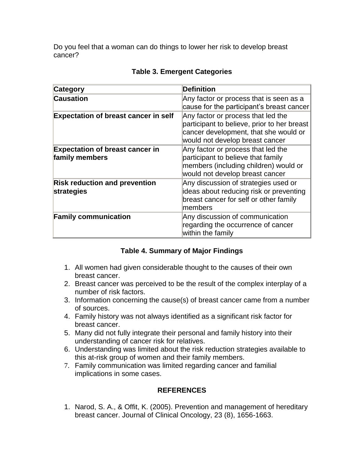Do you feel that a woman can do things to lower her risk to develop breast cancer?

| <b>Category</b>                                          | <b>Definition</b>                                                                                                                                             |
|----------------------------------------------------------|---------------------------------------------------------------------------------------------------------------------------------------------------------------|
| <b>Causation</b>                                         | Any factor or process that is seen as a<br>cause for the participant's breast cancer                                                                          |
| <b>Expectation of breast cancer in self</b>              | Any factor or process that led the<br>participant to believe, prior to her breast<br>cancer development, that she would or<br>would not develop breast cancer |
| <b>Expectation of breast cancer in</b><br>family members | Any factor or process that led the<br>participant to believe that family<br>members (including children) would or<br>would not develop breast cancer          |
| <b>Risk reduction and prevention</b><br>strategies       | Any discussion of strategies used or<br>ideas about reducing risk or preventing<br>breast cancer for self or other family<br>members                          |
| <b>Family communication</b>                              | Any discussion of communication<br>regarding the occurrence of cancer<br>within the family                                                                    |

# **Table 3. Emergent Categories**

# **Table 4. Summary of Major Findings**

- 1. All women had given considerable thought to the causes of their own breast cancer.
- 2. Breast cancer was perceived to be the result of the complex interplay of a number of risk factors.
- 3. Information concerning the cause(s) of breast cancer came from a number of sources.
- 4. Family history was not always identified as a significant risk factor for breast cancer.
- 5. Many did not fully integrate their personal and family history into their understanding of cancer risk for relatives.
- 6. Understanding was limited about the risk reduction strategies available to this at-risk group of women and their family members.
- 7. Family communication was limited regarding cancer and familial implications in some cases.

# **REFERENCES**

1. Narod, S. A., & Offit, K. (2005). Prevention and management of hereditary breast cancer. Journal of Clinical Oncology, 23 (8), 1656-1663.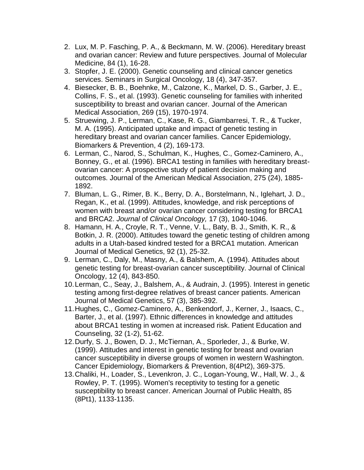- 2. Lux, M. P. Fasching, P. A., & Beckmann, M. W. (2006). Hereditary breast and ovarian cancer: Review and future perspectives. Journal of Molecular Medicine, 84 (1), 16-28.
- 3. Stopfer, J. E. (2000). Genetic counseling and clinical cancer genetics services. Seminars in Surgical Oncology, 18 (4), 347-357.
- 4. Biesecker, B. B., Boehnke, M., Calzone, K., Markel, D. S., Garber, J. E., Collins, F. S., et al. (1993). Genetic counseling for families with inherited susceptibility to breast and ovarian cancer. Journal of the American Medical Association, 269 (15), 1970-1974.
- 5. Struewing, J. P., Lerman, C., Kase, R. G., Giambarresi, T. R., & Tucker, M. A. (1995). Anticipated uptake and impact of genetic testing in hereditary breast and ovarian cancer families. Cancer Epidemiology, Biomarkers & Prevention, 4 (2), 169-173.
- 6. Lerman, C., Narod, S., Schulman, K., Hughes, C., Gomez-Caminero, A., Bonney, G., et al. (1996). BRCA1 testing in families with hereditary breastovarian cancer: A prospective study of patient decision making and outcomes. Journal of the American Medical Association, 275 (24), 1885- 1892.
- 7. Bluman, L. G., Rimer, B. K., Berry, D. A., Borstelmann, N., Iglehart, J. D., Regan, K., et al. (1999). Attitudes, knowledge, and risk perceptions of women with breast and/or ovarian cancer considering testing for BRCA1 and BRCA2. *Journal* of *Clinical Oncology,* 17 (3), 1040-1046.
- 8. Hamann, H. A., Croyle, R. T., Venne, V. L., Baty, B. J., Smith, K. R., & Botkin, J. R. (2000). Attitudes toward the genetic testing of children among adults in a Utah-based kindred tested for a BRCA1 mutation. American Journal of Medical Genetics, 92 (1), 25-32.
- 9. Lerman, C., Daly, M., Masny, A., & Balshem, A. (1994). Attitudes about genetic testing for breast-ovarian cancer susceptibility. Journal of Clinical Oncology, 12 (4), 843-850.
- 10.Lerman, C., Seay, J., Balshem, A., & Audrain, J. (1995). Interest in genetic testing among first-degree relatives of breast cancer patients. American Journal of Medical Genetics, 57 (3), 385-392.
- 11.Hughes, C., Gomez-Caminero, A., Benkendorf, J., Kerner, J., Isaacs, C., Barter, J., et al. (1997). Ethnic differences in knowledge and attitudes about BRCA1 testing in women at increased risk. Patient Education and Counseling, 32 (1-2), 51-62.
- 12.Durfy, S. J., Bowen, D. J., McTiernan, A., Sporleder, J., & Burke, W. (1999). Attitudes and interest in genetic testing for breast and ovarian cancer susceptibility in diverse groups of women in western Washington. Cancer Epidemiology, Biomarkers & Prevention, 8(4Pt2), 369-375.
- 13.Chaliki, H., Loader, S., Levenkron, J. C., Logan-Young, W., Hall, W. J., & Rowley, P. T. (1995). Women's receptivity to testing for a genetic susceptibility to breast cancer. American Journal of Public Health, 85 (8Pt1), 1133-1135.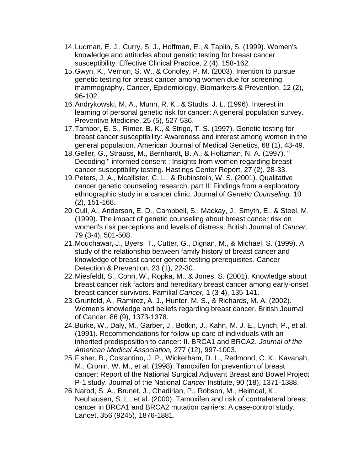- 14.Ludman, E. J., Curry, S. J., Hoffman, E., & Taplin, S. (1999). Women's knowledge and attitudes about genetic testing for breast cancer susceptibility. Effective Clinical Practice, 2 (4), 158-162.
- 15.Gwyn, K., Vernon, S. W., & Conoley, P. M. (2003). Intention to pursue genetic testing for breast cancer among women due for screening mammography. Cancer, Epidemiology, Biomarkers & Prevention, 12 (2), 96-102.
- 16.Andrykowski, M. A., Munn, R. K., & Studts, J. L. (1996). Interest in learning of personal genetic risk for cancer: A general population survey. Preventive Medicine, 25 (5), 527-536.
- 17.Tambor, E. S., Rimer, B. K., & Strigo, T. S. (1997). Genetic testing for breast cancer susceptibility: Awareness and interest among women in the general population. American Journal of Medical Genetics, 68 (1), 43-49.
- 18.Geller, G., Strauss, M., Bernhardt, B. A., & Holtzman, N. A. (1997). " Decoding " informed consent : Insights from women regarding breast cancer susceptibility testing. Hastings Center Report, 27 (2), 28-33.
- 19.Peters, J. A., Mcallister, C. L., & Rubinstein, W. S. (2001). Qualitative cancer genetic counseling research, part II: Findings from a exploratory ethnographic study in a cancer clinic. Journal of *Genetic Counseling,* 10 (2), 151-168.
- 20.Cull, A., Anderson, E. D., Campbell, S., Mackay, J., Smyth, E., & Steel, M. (1999). The impact of genetic counseling about breast cancer risk on women's risk perceptions and levels of distress. British Journal of *Cancer,* 79 (3-4), 501-508.
- 21.Mouchawar**,** J., Byers, T., Cutter, G., Dignan, M., & Michael, S. (1999). A study of the relationship between family history of breast cancer and knowledge of breast cancer genetic testing prerequisites. Cancer Detection & Prevention, 23 (1), 22-30.
- 22.Miesfeldt, S., Cohn, W., Ropka, M., & Jones, S. (2001). Knowledge about breast cancer risk factors and hereditary breast cancer among early-onset breast cancer survivors. Familial *Cancer,* 1 (3-4), 135-141.
- 23.Grunfeld, A., Ramirez, A. J., Hunter, M. S., & Richards, M. A. (2002). Women's knowledge and beliefs regarding breast cancer. British Journal of Cancer, 86 (9), 1373-1378.
- 24.Burke, W., Daly, M., Garber, J., Botkin, J., Kahn, M. J. E., Lynch, P., et al. (1991). Recommendations for follow-up care of individuals with an inherited predisposition to cancer: II. BRCA1 and BRCA2. *Journal of the American Medical Association,* 277 (12), 997-1003.
- 25.Fisher, B., Costantino, J. P., Wickerham, D. L., Redmond, C. K., Kavanah, M., Cronin, W. M., et al. (1998). Tamoxifen for prevention of breast cancer: Report of the National Surgical Adjuvant Breast and Bowel Project P-1 study. Journal of the National *Cancer* Institute, 90 (18), 1371-1388.
- 26.Narod, S. A., Brunet, J., Ghadirian, P., Robson, M., Heimdal, K., Neuhausen, S. L., et al. (2000). Tamoxifen and risk of contralateral breast cancer in BRCA1 and BRCA2 mutation carriers: A case-control study. Lancet, 356 (9245), 1876-1881.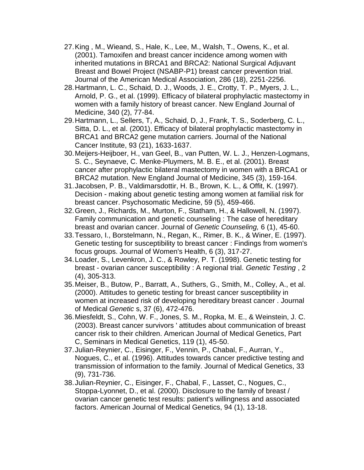- 27.King , M., Wieand, S., Hale, K., Lee, M., Walsh, T., Owens, K., et al. (2001). Tamoxifen and breast cancer incidence among women with inherited mutations in BRCA1 and BRCA2: National Surgical Adjuvant Breast and Bowel Project (NSABP-P1) breast cancer prevention trial. Journal of the American Medical Association, 286 (18), 2251-2256.
- 28.Hartmann, L. C., Schaid, D. J., Woods, J. E., Crotty, T. P., Myers, J. L., Arnold, P. G., et al. (1999). Efficacy of bilateral prophylactic mastectomy in women with a family history of breast cancer. New England Journal of Medicine, 340 (2), 77-84.
- 29.Hartmann, L., Sellers, T, A., Schaid, D, J., Frank, T. S., Soderberg, C. L., Sitta, D. L., et al. (2001). Efficacy of bilateral prophylactic mastectomy in BRCA1 and BRCA2 gene mutation carriers. Journal of the National Cancer Institute, 93 (21), 1633-1637.
- 30.Meijers-Heijboer, H., van Geel, B., van Putten, W. L. J., Henzen-Logmans, S. C., Seynaeve, C. Menke-Pluymers, M. B. E., et al. (2001). Breast cancer after prophylactic bilateral mastectomy in women with a BRCA1 or BRCA2 mutation. New England Journal of Medicine, 345 (3), 159-164.
- 31.Jacobsen, P. B., Valdimarsdottir, H. B., Brown, K. L., & Offit, K. (1997). Decision - making about genetic testing among women at familial risk for breast cancer. Psychosomatic Medicine, 59 (5), 459-466.
- 32.Green, J., Richards, M., Murton, F., Statham, H., & Hallowell, N. (1997). Family communication and genetic counseling : The case of hereditary breast and ovarian cancer. Journal of *Genetic Counseling,* 6 (1), 45-60.
- 33.Tessaro, I., Borstelmann, N., Regan, K., Rimer, B. K., & Winer, E. (1997). Genetic testing for susceptibility to breast cancer : Findings from women's focus groups. Journal of Women's Health, 6 (3), 317-27.
- 34.Loader, S., Levenkron, J. C., & Rowley, P. T. (1998). Genetic testing for breast - ovarian cancer susceptibility : A regional trial. *Genetic Testing* , 2 (4), 305-313.
- 35.Meiser, B., Butow, P., Barratt, A., Suthers, G., Smith, M., Colley, A., et al. (2000). Attitudes to genetic testing for breast cancer susceptibility in women at increased risk of developing hereditary breast cancer . Journal of Medical *Genetic* s, 37 (6), 472-476.
- 36.Miesfeldt, S., Cohn, W. F., Jones, S. M., Ropka, M. E., & Weinstein, J. C. (2003). Breast cancer survivors ' attitudes about communication of breast cancer risk to their children. American Journal of Medical Genetics, Part C, Seminars in Medical Genetics, 119 (1), 45-50.
- 37.Julian-Reynier, C., Eisinger, F., Vennin, P., Chabal, F., Aurran, Y., Nogues, C., et al. (1996). Attitudes towards cancer predictive testing and transmission of information to the family. Journal of Medical Genetics, 33 (9), 731-736.
- 38.Julian-Reynier, C., Eisinger, F., Chabal, F., Lasset, C., Nogues, C., Stoppa-Lyonnet, D., et al. (2000). Disclosure to the family of breast / ovarian cancer genetic test results: patient's willingness and associated factors. American Journal of Medical Genetics, 94 (1), 13-18.